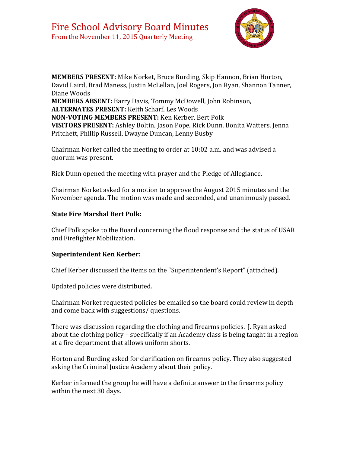

**MEMBERS PRESENT:** Mike Norket, Bruce Burding, Skip Hannon, Brian Horton, David Laird, Brad Maness, Justin McLellan, Joel Rogers, Jon Ryan, Shannon Tanner, Diane Woods **MEMBERS ABSENT:** Barry Davis, Tommy McDowell, John Robinson, **ALTERNATES PRESENT:** Keith Scharf, Les Woods **NON-VOTING MEMBERS PRESENT:** Ken Kerber, Bert Polk **VISITORS PRESENT:** Ashley Boltin, Jason Pope, Rick Dunn, Bonita Watters, Jenna Pritchett, Phillip Russell, Dwayne Duncan, Lenny Busby

Chairman Norket called the meeting to order at 10:02 a.m. and was advised a quorum was present.

Rick Dunn opened the meeting with prayer and the Pledge of Allegiance.

Chairman Norket asked for a motion to approve the August 2015 minutes and the November agenda. The motion was made and seconded, and unanimously passed.

### **State Fire Marshal Bert Polk:**

Chief Polk spoke to the Board concerning the flood response and the status of USAR and Firefighter Mobilization.

## **Superintendent Ken Kerber:**

Chief Kerber discussed the items on the "Superintendent's Report" (attached).

Updated policies were distributed.

Chairman Norket requested policies be emailed so the board could review in depth and come back with suggestions/ questions.

There was discussion regarding the clothing and firearms policies. J. Ryan asked about the clothing policy – specifically if an Academy class is being taught in a region at a fire department that allows uniform shorts.

Horton and Burding asked for clarification on firearms policy. They also suggested asking the Criminal Justice Academy about their policy.

Kerber informed the group he will have a definite answer to the firearms policy within the next 30 days.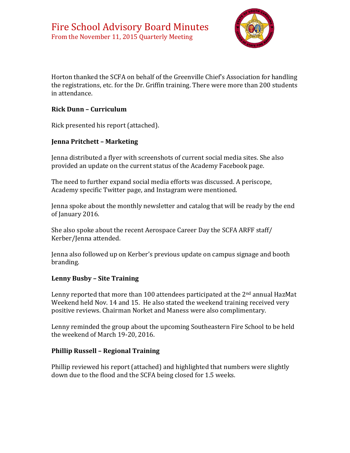

Horton thanked the SCFA on behalf of the Greenville Chief's Association for handling the registrations, etc. for the Dr. Griffin training. There were more than 200 students in attendance.

#### **Rick Dunn – Curriculum**

Rick presented his report (attached).

### **Jenna Pritchett – Marketing**

Jenna distributed a flyer with screenshots of current social media sites. She also provided an update on the current status of the Academy Facebook page.

The need to further expand social media efforts was discussed. A periscope, Academy specific Twitter page, and Instagram were mentioned.

Jenna spoke about the monthly newsletter and catalog that will be ready by the end of January 2016.

She also spoke about the recent Aerospace Career Day the SCFA ARFF staff/ Kerber/Jenna attended.

Jenna also followed up on Kerber's previous update on campus signage and booth branding.

#### **Lenny Busby – Site Training**

Lenny reported that more than 100 attendees participated at the 2<sup>nd</sup> annual HazMat Weekend held Nov. 14 and 15. He also stated the weekend training received very positive reviews. Chairman Norket and Maness were also complimentary.

Lenny reminded the group about the upcoming Southeastern Fire School to be held the weekend of March 19-20, 2016.

#### **Phillip Russell – Regional Training**

Phillip reviewed his report (attached) and highlighted that numbers were slightly down due to the flood and the SCFA being closed for 1.5 weeks.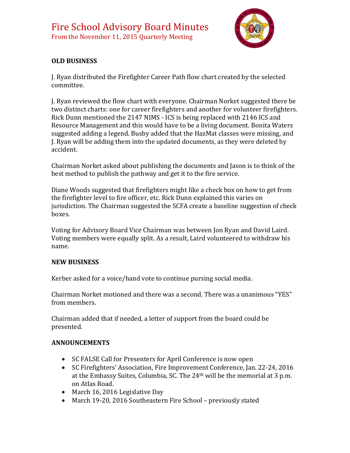

# **OLD BUSINESS**

J. Ryan distributed the Firefighter Career Path flow chart created by the selected committee.

J. Ryan reviewed the flow chart with everyone. Chairman Norket suggested there be two distinct charts: one for career firefighters and another for volunteer firefighters. Rick Dunn mentioned the 2147 NIMS - ICS is being replaced with 2146 ICS and Resource Management and this would have to be a living document. Bonita Waters suggested adding a legend. Busby added that the HazMat classes were missing, and J. Ryan will be adding them into the updated documents, as they were deleted by accident.

Chairman Norket asked about publishing the documents and Jason is to think of the best method to publish the pathway and get it to the fire service.

Diane Woods suggested that firefighters might like a check box on how to get from the firefighter level to fire officer, etc. Rick Dunn explained this varies on jurisdiction. The Chairman suggested the SCFA create a baseline suggestion of check boxes.

Voting for Advisory Board Vice Chairman was between Jon Ryan and David Laird. Voting members were equally split. As a result, Laird volunteered to withdraw his name.

## **NEW BUSINESS**

Kerber asked for a voice/hand vote to continue pursing social media.

Chairman Norket motioned and there was a second. There was a unanimous "YES" from members.

Chairman added that if needed, a letter of support from the board could be presented.

#### **ANNOUNCEMENTS**

- SC FALSE Call for Presenters for April Conference is now open
- SC Firefighters' Association, Fire Improvement Conference, Jan. 22-24, 2016 at the Embassy Suites, Columbia, SC. The 24th will be the memorial at 3 p.m. on Atlas Road.
- March 16, 2016 Legislative Day
- March 19-20, 2016 Southeastern Fire School previously stated